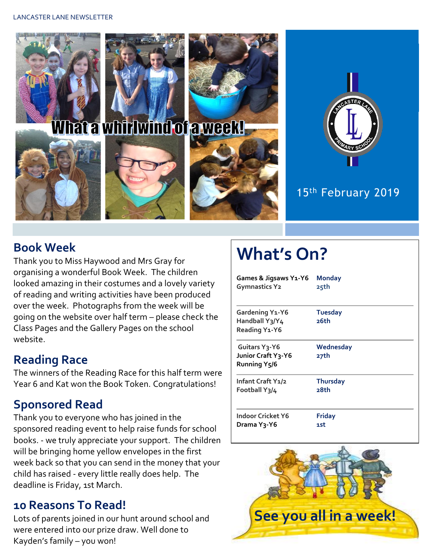

## **Book Week**

Thank you to Miss Haywood and Mrs Gray for organising a wonderful Book Week. The children looked amazing in their costumes and a lovely variety of reading and writing activities have been produced over the week. Photographs from the week will be going on the website over half term – please check the Class Pages and the Gallery Pages on the school website.

# **Reading Race**

The winners of the Reading Race for this half term were Year 6 and Kat won the Book Token. Congratulations!

# **Sponsored Read**

Thank you to everyone who has joined in the sponsored reading event to help raise funds for school books. - we truly appreciate your support. The children will be bringing home yellow envelopes in the first week back so that you can send in the money that your child has raised - every little really does help. The deadline is Friday, 1st March.

## **10 Reasons To Read!**

Lots of parents joined in our hunt around school and were entered into our prize draw. Well done to Kayden's family – you won!

# **What's On?**

| Games & Jigsaws Y1-Y6                                                         | <b>Monday</b>          |
|-------------------------------------------------------------------------------|------------------------|
| <b>Gymnastics Y2</b>                                                          | 25th                   |
| Gardening Y1-Y6<br>Handball Y3/Y4<br>Reading Y1-Y6                            | <b>Tuesday</b><br>26th |
| Guitars Y <sub>3</sub> -Y6<br>Junior Craft Y3-Y6<br>Running Y <sub>5</sub> /6 | Wednesday<br>27th      |
| Infant Craft Y1/2                                                             | <b>Thursday</b>        |
| Football Y3/4                                                                 | 28th                   |
| Indoor Cricket Y6                                                             | <b>Friday</b>          |
| Drama Y3-Y6                                                                   | 1st                    |

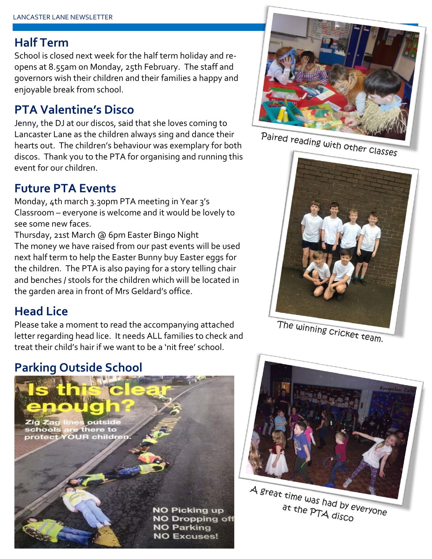## **Half Term**

School is closed next week for the half term holiday and reopens at 8.55am on Monday, 25th February. The staff and governors wish their children and their families a happy and enjoyable break from school.

# **PTA Valentine's Disco**

Jenny, the DJ at our discos, said that she loves coming to Lancaster Lane as the children always sing and dance their hearts out. The children's behaviour was exemplary for both discos. Thank you to the PTA for organising and running this event for our children.

# **Future PTA Events**

Monday, 4th march 3.30pm PTA meeting in Year 3's Classroom – everyone is welcome and it would be lovely to see some new faces.

Thursday, 21st March @ 6pm Easter Bingo Night The money we have raised from our past events will be used next half term to help the Easter Bunny buy Easter eggs for the children. The PTA is also paying for a story telling chair and benches / stools for the children which will be located in the garden area in front of Mrs Geldard's office.

# **Head Lice**

Please take a moment to read the accompanying attached letter regarding head lice. It needs ALL families to check and treat their child's hair if we want to be a 'nit free' school.

# **Parking Outside School**





Paired reading with other classes



The winning cricket team.



A great time was had by everyone at the PTA disco